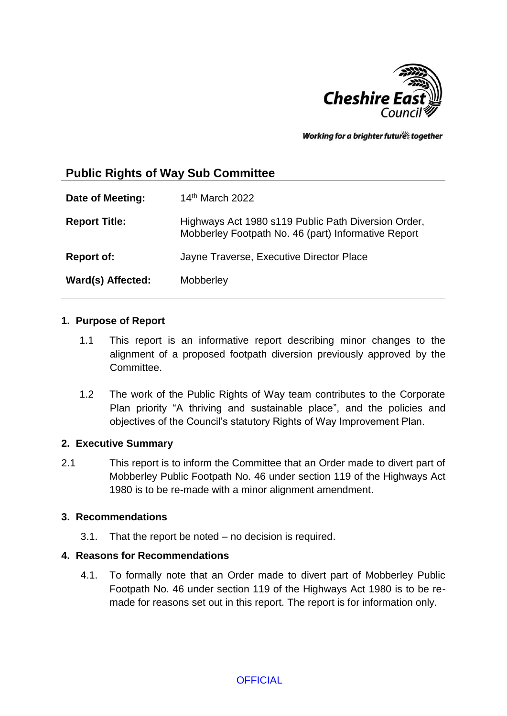

Working for a brighter futures together

# **Public Rights of Way Sub Committee**

| Date of Meeting:     | 14th March 2022                                                                                            |
|----------------------|------------------------------------------------------------------------------------------------------------|
| <b>Report Title:</b> | Highways Act 1980 s119 Public Path Diversion Order,<br>Mobberley Footpath No. 46 (part) Informative Report |
| <b>Report of:</b>    | Jayne Traverse, Executive Director Place                                                                   |
| Ward(s) Affected:    | Mobberley                                                                                                  |

### **1. Purpose of Report**

- 1.1 This report is an informative report describing minor changes to the alignment of a proposed footpath diversion previously approved by the Committee.
- 1.2 The work of the Public Rights of Way team contributes to the Corporate Plan priority "A thriving and sustainable place", and the policies and objectives of the Council's statutory Rights of Way Improvement Plan.

### **2. Executive Summary**

2.1 This report is to inform the Committee that an Order made to divert part of Mobberley Public Footpath No. 46 under section 119 of the Highways Act 1980 is to be re-made with a minor alignment amendment.

### **3. Recommendations**

3.1. That the report be noted – no decision is required.

# **4. Reasons for Recommendations**

4.1. To formally note that an Order made to divert part of Mobberley Public Footpath No. 46 under section 119 of the Highways Act 1980 is to be remade for reasons set out in this report. The report is for information only.

**OFFICIAL**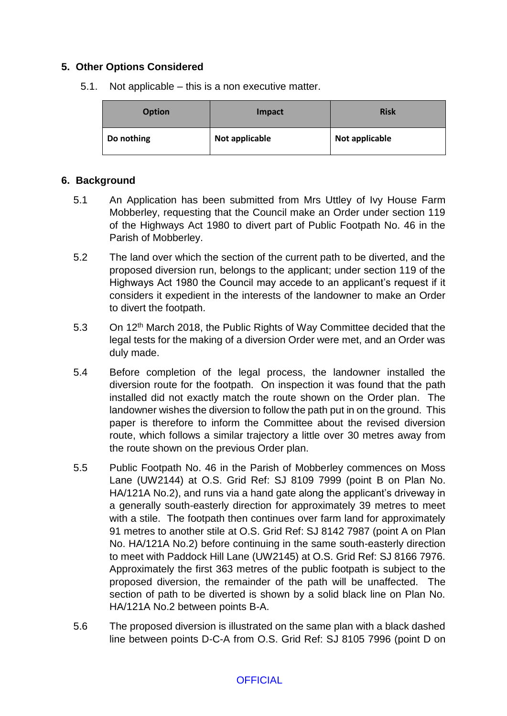# **5. Other Options Considered**

5.1. Not applicable – this is a non executive matter.

| <b>Option</b> | Impact         | <b>Risk</b>    |
|---------------|----------------|----------------|
| Do nothing    | Not applicable | Not applicable |

### **6. Background**

- 5.1 An Application has been submitted from Mrs Uttley of Ivy House Farm Mobberley, requesting that the Council make an Order under section 119 of the Highways Act 1980 to divert part of Public Footpath No. 46 in the Parish of Mobberley.
- 5.2 The land over which the section of the current path to be diverted, and the proposed diversion run, belongs to the applicant; under section 119 of the Highways Act 1980 the Council may accede to an applicant's request if it considers it expedient in the interests of the landowner to make an Order to divert the footpath.
- 5.3 On 12<sup>th</sup> March 2018, the Public Rights of Way Committee decided that the legal tests for the making of a diversion Order were met, and an Order was duly made.
- 5.4 Before completion of the legal process, the landowner installed the diversion route for the footpath. On inspection it was found that the path installed did not exactly match the route shown on the Order plan. The landowner wishes the diversion to follow the path put in on the ground. This paper is therefore to inform the Committee about the revised diversion route, which follows a similar trajectory a little over 30 metres away from the route shown on the previous Order plan.
- 5.5 Public Footpath No. 46 in the Parish of Mobberley commences on Moss Lane (UW2144) at O.S. Grid Ref: SJ 8109 7999 (point B on Plan No. HA/121A No.2), and runs via a hand gate along the applicant's driveway in a generally south-easterly direction for approximately 39 metres to meet with a stile. The footpath then continues over farm land for approximately 91 metres to another stile at O.S. Grid Ref: SJ 8142 7987 (point A on Plan No. HA/121A No.2) before continuing in the same south-easterly direction to meet with Paddock Hill Lane (UW2145) at O.S. Grid Ref: SJ 8166 7976. Approximately the first 363 metres of the public footpath is subject to the proposed diversion, the remainder of the path will be unaffected. The section of path to be diverted is shown by a solid black line on Plan No. HA/121A No.2 between points B-A.
- 5.6 The proposed diversion is illustrated on the same plan with a black dashed line between points D-C-A from O.S. Grid Ref: SJ 8105 7996 (point D on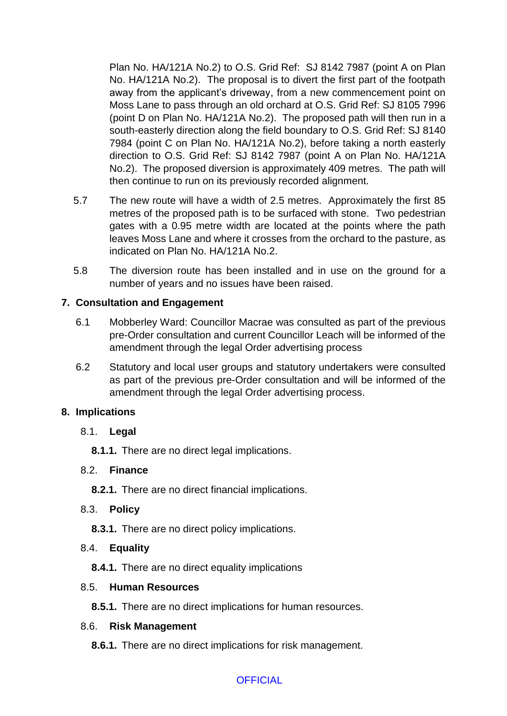Plan No. HA/121A No.2) to O.S. Grid Ref: SJ 8142 7987 (point A on Plan No. HA/121A No.2). The proposal is to divert the first part of the footpath away from the applicant's driveway, from a new commencement point on Moss Lane to pass through an old orchard at O.S. Grid Ref: SJ 8105 7996 (point D on Plan No. HA/121A No.2). The proposed path will then run in a south-easterly direction along the field boundary to O.S. Grid Ref: SJ 8140 7984 (point C on Plan No. HA/121A No.2), before taking a north easterly direction to O.S. Grid Ref: SJ 8142 7987 (point A on Plan No. HA/121A No.2). The proposed diversion is approximately 409 metres. The path will then continue to run on its previously recorded alignment.

- 5.7 The new route will have a width of 2.5 metres. Approximately the first 85 metres of the proposed path is to be surfaced with stone. Two pedestrian gates with a 0.95 metre width are located at the points where the path leaves Moss Lane and where it crosses from the orchard to the pasture, as indicated on Plan No. HA/121A No.2.
- 5.8 The diversion route has been installed and in use on the ground for a number of years and no issues have been raised.

# **7. Consultation and Engagement**

- 6.1 Mobberley Ward: Councillor Macrae was consulted as part of the previous pre-Order consultation and current Councillor Leach will be informed of the amendment through the legal Order advertising process
- 6.2 Statutory and local user groups and statutory undertakers were consulted as part of the previous pre-Order consultation and will be informed of the amendment through the legal Order advertising process.

### **8. Implications**

- 8.1. **Legal** 
	- **8.1.1.** There are no direct legal implications.

### 8.2. **Finance**

**8.2.1.** There are no direct financial implications.

### 8.3. **Policy**

**8.3.1.** There are no direct policy implications.

### 8.4. **Equality**

**8.4.1.** There are no direct equality implications

#### 8.5. **Human Resources**

**8.5.1.** There are no direct implications for human resources.

#### 8.6. **Risk Management**

**8.6.1.** There are no direct implications for risk management.

# **OFFICIAL**